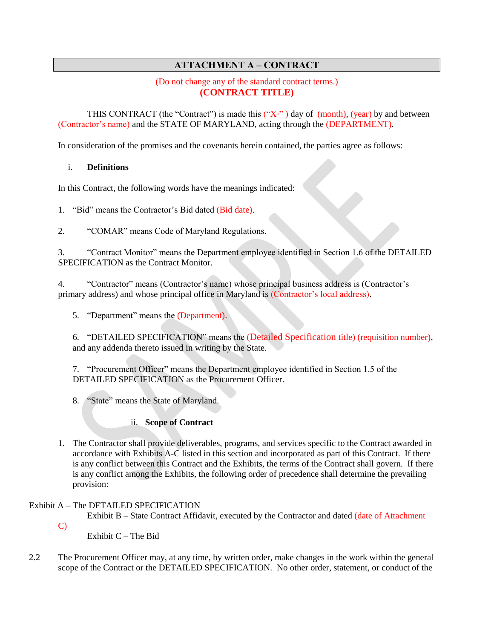# **ATTACHMENT A – CONTRACT**

#### (Do not change any of the standard contract terms.) **(CONTRACT TITLE)**

THIS CONTRACT (the "Contract") is made this  $("X<sub>n</sub>")$  day of (month), (year) by and between (Contractor's name) and the STATE OF MARYLAND, acting through the (DEPARTMENT).

In consideration of the promises and the covenants herein contained, the parties agree as follows:

### i. **Definitions**

In this Contract, the following words have the meanings indicated:

1. "Bid" means the Contractor's Bid dated (Bid date).

2. "COMAR" means Code of Maryland Regulations.

3. "Contract Monitor" means the Department employee identified in Section 1.6 of the DETAILED SPECIFICATION as the Contract Monitor.

4. "Contractor" means (Contractor's name) whose principal business address is (Contractor's primary address) and whose principal office in Maryland is (Contractor's local address).

5. "Department" means the (Department).

6. "DETAILED SPECIFICATION" means the (Detailed Specification title) (requisition number), and any addenda thereto issued in writing by the State.

7. "Procurement Officer" means the Department employee identified in Section 1.5 of the DETAILED SPECIFICATION as the Procurement Officer.

8. "State" means the State of Maryland.

#### ii. **Scope of Contract**

1. The Contractor shall provide deliverables, programs, and services specific to the Contract awarded in accordance with Exhibits A-C listed in this section and incorporated as part of this Contract. If there is any conflict between this Contract and the Exhibits, the terms of the Contract shall govern. If there is any conflict among the Exhibits, the following order of precedence shall determine the prevailing provision:

### Exhibit A – The DETAILED SPECIFICATION

Exhibit B – State Contract Affidavit, executed by the Contractor and dated (date of Attachment

C)

Exhibit  $C$  – The Bid

2.2 The Procurement Officer may, at any time, by written order, make changes in the work within the general scope of the Contract or the DETAILED SPECIFICATION. No other order, statement, or conduct of the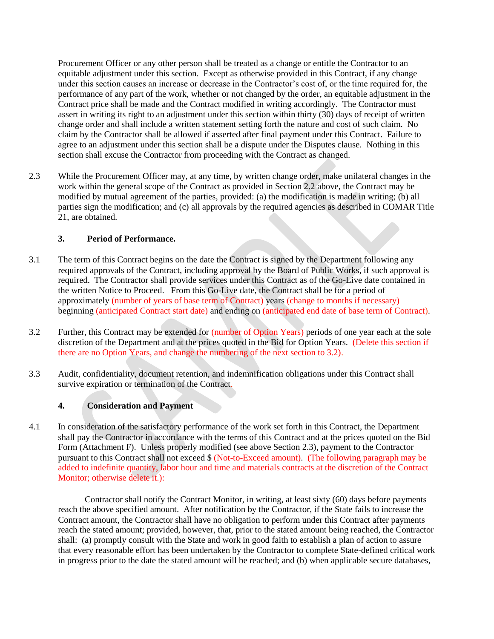Procurement Officer or any other person shall be treated as a change or entitle the Contractor to an equitable adjustment under this section. Except as otherwise provided in this Contract, if any change under this section causes an increase or decrease in the Contractor's cost of, or the time required for, the performance of any part of the work, whether or not changed by the order, an equitable adjustment in the Contract price shall be made and the Contract modified in writing accordingly. The Contractor must assert in writing its right to an adjustment under this section within thirty (30) days of receipt of written change order and shall include a written statement setting forth the nature and cost of such claim. No claim by the Contractor shall be allowed if asserted after final payment under this Contract. Failure to agree to an adjustment under this section shall be a dispute under the Disputes clause. Nothing in this section shall excuse the Contractor from proceeding with the Contract as changed.

2.3 While the Procurement Officer may, at any time, by written change order, make unilateral changes in the work within the general scope of the Contract as provided in Section 2.2 above, the Contract may be modified by mutual agreement of the parties, provided: (a) the modification is made in writing; (b) all parties sign the modification; and (c) all approvals by the required agencies as described in COMAR Title 21, are obtained.

#### **3. Period of Performance.**

- 3.1 The term of this Contract begins on the date the Contract is signed by the Department following any required approvals of the Contract, including approval by the Board of Public Works, if such approval is required. The Contractor shall provide services under this Contract as of the Go-Live date contained in the written Notice to Proceed. From this Go-Live date, the Contract shall be for a period of approximately (number of years of base term of Contract) years (change to months if necessary) beginning (anticipated Contract start date) and ending on (anticipated end date of base term of Contract).
- 3.2 Further, this Contract may be extended for (number of Option Years) periods of one year each at the sole discretion of the Department and at the prices quoted in the Bid for Option Years. (Delete this section if there are no Option Years, and change the numbering of the next section to 3.2).
- 3.3 Audit, confidentiality, document retention, and indemnification obligations under this Contract shall survive expiration or termination of the Contract.

### **4. Consideration and Payment**

4.1 In consideration of the satisfactory performance of the work set forth in this Contract, the Department shall pay the Contractor in accordance with the terms of this Contract and at the prices quoted on the Bid Form (Attachment F). Unless properly modified (see above Section 2.3), payment to the Contractor pursuant to this Contract shall not exceed \$ (Not-to-Exceed amount). (The following paragraph may be added to indefinite quantity, labor hour and time and materials contracts at the discretion of the Contract Monitor; otherwise delete it.):

 Contractor shall notify the Contract Monitor, in writing, at least sixty (60) days before payments reach the above specified amount. After notification by the Contractor, if the State fails to increase the Contract amount, the Contractor shall have no obligation to perform under this Contract after payments reach the stated amount; provided, however, that, prior to the stated amount being reached, the Contractor shall: (a) promptly consult with the State and work in good faith to establish a plan of action to assure that every reasonable effort has been undertaken by the Contractor to complete State-defined critical work in progress prior to the date the stated amount will be reached; and (b) when applicable secure databases,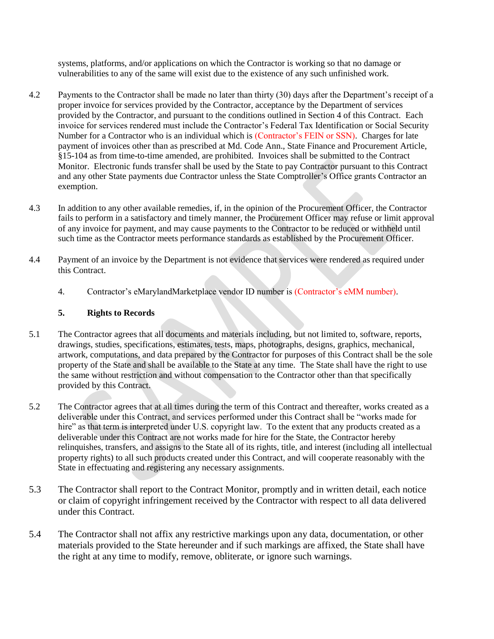systems, platforms, and/or applications on which the Contractor is working so that no damage or vulnerabilities to any of the same will exist due to the existence of any such unfinished work.

- 4.2 Payments to the Contractor shall be made no later than thirty (30) days after the Department's receipt of a proper invoice for services provided by the Contractor, acceptance by the Department of services provided by the Contractor, and pursuant to the conditions outlined in Section 4 of this Contract. Each invoice for services rendered must include the Contractor's Federal Tax Identification or Social Security Number for a Contractor who is an individual which is (Contractor's FEIN or SSN). Charges for late payment of invoices other than as prescribed at Md. Code Ann., State Finance and Procurement Article, §15-104 as from time-to-time amended, are prohibited. Invoices shall be submitted to the Contract Monitor. Electronic funds transfer shall be used by the State to pay Contractor pursuant to this Contract and any other State payments due Contractor unless the State Comptroller's Office grants Contractor an exemption.
- 4.3 In addition to any other available remedies, if, in the opinion of the Procurement Officer, the Contractor fails to perform in a satisfactory and timely manner, the Procurement Officer may refuse or limit approval of any invoice for payment, and may cause payments to the Contractor to be reduced or withheld until such time as the Contractor meets performance standards as established by the Procurement Officer.
- 4.4 Payment of an invoice by the Department is not evidence that services were rendered as required under this Contract.
	- 4. Contractor's eMarylandMarketplace vendor ID number is (Contractor's eMM number).

## **5. Rights to Records**

- 5.1 The Contractor agrees that all documents and materials including, but not limited to, software, reports, drawings, studies, specifications, estimates, tests, maps, photographs, designs, graphics, mechanical, artwork, computations, and data prepared by the Contractor for purposes of this Contract shall be the sole property of the State and shall be available to the State at any time. The State shall have the right to use the same without restriction and without compensation to the Contractor other than that specifically provided by this Contract.
- 5.2 The Contractor agrees that at all times during the term of this Contract and thereafter, works created as a deliverable under this Contract, and services performed under this Contract shall be "works made for hire" as that term is interpreted under U.S. copyright law. To the extent that any products created as a deliverable under this Contract are not works made for hire for the State, the Contractor hereby relinquishes, transfers, and assigns to the State all of its rights, title, and interest (including all intellectual property rights) to all such products created under this Contract, and will cooperate reasonably with the State in effectuating and registering any necessary assignments.
- 5.3 The Contractor shall report to the Contract Monitor, promptly and in written detail, each notice or claim of copyright infringement received by the Contractor with respect to all data delivered under this Contract.
- 5.4 The Contractor shall not affix any restrictive markings upon any data, documentation, or other materials provided to the State hereunder and if such markings are affixed, the State shall have the right at any time to modify, remove, obliterate, or ignore such warnings.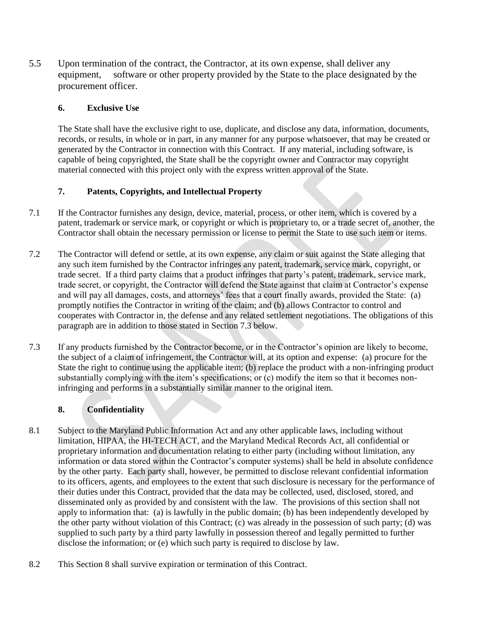5.5 Upon termination of the contract, the Contractor, at its own expense, shall deliver any equipment, software or other property provided by the State to the place designated by the procurement officer.

### **6. Exclusive Use**

The State shall have the exclusive right to use, duplicate, and disclose any data, information, documents, records, or results, in whole or in part, in any manner for any purpose whatsoever, that may be created or generated by the Contractor in connection with this Contract. If any material, including software, is capable of being copyrighted, the State shall be the copyright owner and Contractor may copyright material connected with this project only with the express written approval of the State.

# **7. Patents, Copyrights, and Intellectual Property**

- 7.1 If the Contractor furnishes any design, device, material, process, or other item, which is covered by a patent, trademark or service mark, or copyright or which is proprietary to, or a trade secret of, another, the Contractor shall obtain the necessary permission or license to permit the State to use such item or items.
- 7.2 The Contractor will defend or settle, at its own expense, any claim or suit against the State alleging that any such item furnished by the Contractor infringes any patent, trademark, service mark, copyright, or trade secret. If a third party claims that a product infringes that party's patent, trademark, service mark, trade secret, or copyright, the Contractor will defend the State against that claim at Contractor's expense and will pay all damages, costs, and attorneys' fees that a court finally awards, provided the State: (a) promptly notifies the Contractor in writing of the claim; and (b) allows Contractor to control and cooperates with Contractor in, the defense and any related settlement negotiations. The obligations of this paragraph are in addition to those stated in Section 7.3 below.
- 7.3 If any products furnished by the Contractor become, or in the Contractor's opinion are likely to become, the subject of a claim of infringement, the Contractor will, at its option and expense: (a) procure for the State the right to continue using the applicable item; (b) replace the product with a non-infringing product substantially complying with the item's specifications; or (c) modify the item so that it becomes noninfringing and performs in a substantially similar manner to the original item.

### **8. Confidentiality**

- 8.1 Subject to the Maryland Public Information Act and any other applicable laws, including without limitation, HIPAA, the HI-TECH ACT, and the Maryland Medical Records Act, all confidential or proprietary information and documentation relating to either party (including without limitation, any information or data stored within the Contractor's computer systems) shall be held in absolute confidence by the other party. Each party shall, however, be permitted to disclose relevant confidential information to its officers, agents, and employees to the extent that such disclosure is necessary for the performance of their duties under this Contract, provided that the data may be collected, used, disclosed, stored, and disseminated only as provided by and consistent with the law. The provisions of this section shall not apply to information that: (a) is lawfully in the public domain; (b) has been independently developed by the other party without violation of this Contract; (c) was already in the possession of such party; (d) was supplied to such party by a third party lawfully in possession thereof and legally permitted to further disclose the information; or (e) which such party is required to disclose by law.
- 8.2 This Section 8 shall survive expiration or termination of this Contract.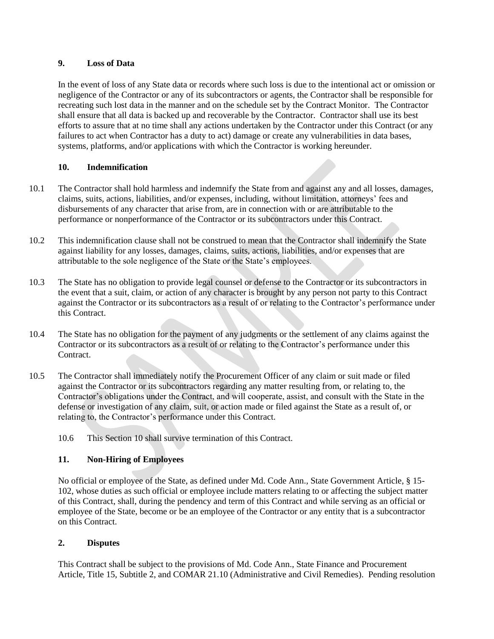#### **9. Loss of Data**

In the event of loss of any State data or records where such loss is due to the intentional act or omission or negligence of the Contractor or any of its subcontractors or agents, the Contractor shall be responsible for recreating such lost data in the manner and on the schedule set by the Contract Monitor. The Contractor shall ensure that all data is backed up and recoverable by the Contractor. Contractor shall use its best efforts to assure that at no time shall any actions undertaken by the Contractor under this Contract (or any failures to act when Contractor has a duty to act) damage or create any vulnerabilities in data bases, systems, platforms, and/or applications with which the Contractor is working hereunder.

### **10. Indemnification**

- 10.1 The Contractor shall hold harmless and indemnify the State from and against any and all losses, damages, claims, suits, actions, liabilities, and/or expenses, including, without limitation, attorneys' fees and disbursements of any character that arise from, are in connection with or are attributable to the performance or nonperformance of the Contractor or its subcontractors under this Contract.
- 10.2 This indemnification clause shall not be construed to mean that the Contractor shall indemnify the State against liability for any losses, damages, claims, suits, actions, liabilities, and/or expenses that are attributable to the sole negligence of the State or the State's employees.
- 10.3 The State has no obligation to provide legal counsel or defense to the Contractor or its subcontractors in the event that a suit, claim, or action of any character is brought by any person not party to this Contract against the Contractor or its subcontractors as a result of or relating to the Contractor's performance under this Contract.
- 10.4 The State has no obligation for the payment of any judgments or the settlement of any claims against the Contractor or its subcontractors as a result of or relating to the Contractor's performance under this Contract.
- 10.5 The Contractor shall immediately notify the Procurement Officer of any claim or suit made or filed against the Contractor or its subcontractors regarding any matter resulting from, or relating to, the Contractor's obligations under the Contract, and will cooperate, assist, and consult with the State in the defense or investigation of any claim, suit, or action made or filed against the State as a result of, or relating to, the Contractor's performance under this Contract.
	- 10.6 This Section 10 shall survive termination of this Contract.

### **11. Non-Hiring of Employees**

No official or employee of the State, as defined under Md. Code Ann., State Government Article, § 15- 102, whose duties as such official or employee include matters relating to or affecting the subject matter of this Contract, shall, during the pendency and term of this Contract and while serving as an official or employee of the State, become or be an employee of the Contractor or any entity that is a subcontractor on this Contract.

### **2. Disputes**

This Contract shall be subject to the provisions of Md. Code Ann., State Finance and Procurement Article, Title 15, Subtitle 2, and COMAR 21.10 (Administrative and Civil Remedies). Pending resolution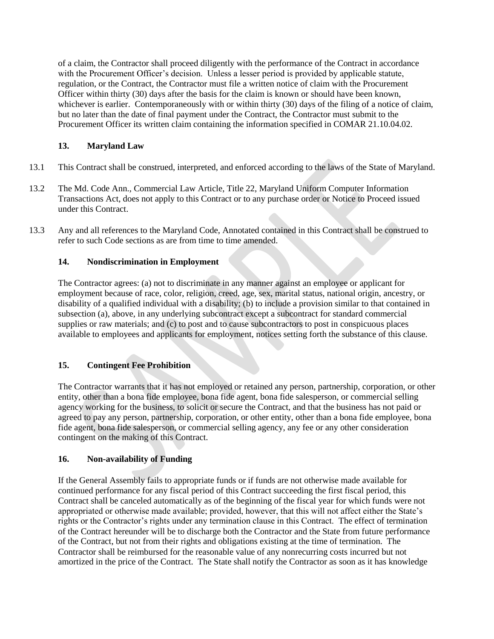of a claim, the Contractor shall proceed diligently with the performance of the Contract in accordance with the Procurement Officer's decision. Unless a lesser period is provided by applicable statute, regulation, or the Contract, the Contractor must file a written notice of claim with the Procurement Officer within thirty (30) days after the basis for the claim is known or should have been known, whichever is earlier. Contemporaneously with or within thirty (30) days of the filing of a notice of claim, but no later than the date of final payment under the Contract, the Contractor must submit to the Procurement Officer its written claim containing the information specified in COMAR 21.10.04.02.

### **13. Maryland Law**

- 13.1 This Contract shall be construed, interpreted, and enforced according to the laws of the State of Maryland.
- 13.2 The Md. Code Ann., Commercial Law Article, Title 22, Maryland Uniform Computer Information Transactions Act, does not apply to this Contract or to any purchase order or Notice to Proceed issued under this Contract.
- 13.3 Any and all references to the Maryland Code, Annotated contained in this Contract shall be construed to refer to such Code sections as are from time to time amended.

### **14. Nondiscrimination in Employment**

The Contractor agrees: (a) not to discriminate in any manner against an employee or applicant for employment because of race, color, religion, creed, age, sex, marital status, national origin, ancestry, or disability of a qualified individual with a disability; (b) to include a provision similar to that contained in subsection (a), above, in any underlying subcontract except a subcontract for standard commercial supplies or raw materials; and (c) to post and to cause subcontractors to post in conspicuous places available to employees and applicants for employment, notices setting forth the substance of this clause.

### **15. Contingent Fee Prohibition**

The Contractor warrants that it has not employed or retained any person, partnership, corporation, or other entity, other than a bona fide employee, bona fide agent, bona fide salesperson, or commercial selling agency working for the business, to solicit or secure the Contract, and that the business has not paid or agreed to pay any person, partnership, corporation, or other entity, other than a bona fide employee, bona fide agent, bona fide salesperson, or commercial selling agency, any fee or any other consideration contingent on the making of this Contract.

### **16. Non-availability of Funding**

If the General Assembly fails to appropriate funds or if funds are not otherwise made available for continued performance for any fiscal period of this Contract succeeding the first fiscal period, this Contract shall be canceled automatically as of the beginning of the fiscal year for which funds were not appropriated or otherwise made available; provided, however, that this will not affect either the State's rights or the Contractor's rights under any termination clause in this Contract. The effect of termination of the Contract hereunder will be to discharge both the Contractor and the State from future performance of the Contract, but not from their rights and obligations existing at the time of termination. The Contractor shall be reimbursed for the reasonable value of any nonrecurring costs incurred but not amortized in the price of the Contract. The State shall notify the Contractor as soon as it has knowledge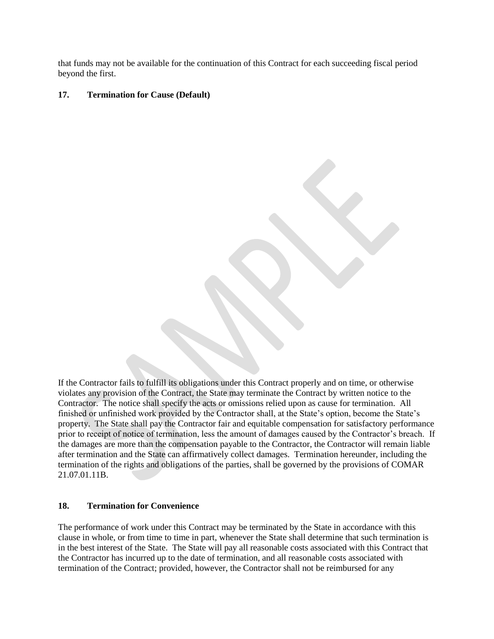that funds may not be available for the continuation of this Contract for each succeeding fiscal period beyond the first.

#### **17. Termination for Cause (Default)**

If the Contractor fails to fulfill its obligations under this Contract properly and on time, or otherwise violates any provision of the Contract, the State may terminate the Contract by written notice to the Contractor. The notice shall specify the acts or omissions relied upon as cause for termination. All finished or unfinished work provided by the Contractor shall, at the State's option, become the State's property. The State shall pay the Contractor fair and equitable compensation for satisfactory performance prior to receipt of notice of termination, less the amount of damages caused by the Contractor's breach. If the damages are more than the compensation payable to the Contractor, the Contractor will remain liable after termination and the State can affirmatively collect damages. Termination hereunder, including the termination of the rights and obligations of the parties, shall be governed by the provisions of COMAR 21.07.01.11B.

#### **18. Termination for Convenience**

The performance of work under this Contract may be terminated by the State in accordance with this clause in whole, or from time to time in part, whenever the State shall determine that such termination is in the best interest of the State. The State will pay all reasonable costs associated with this Contract that the Contractor has incurred up to the date of termination, and all reasonable costs associated with termination of the Contract; provided, however, the Contractor shall not be reimbursed for any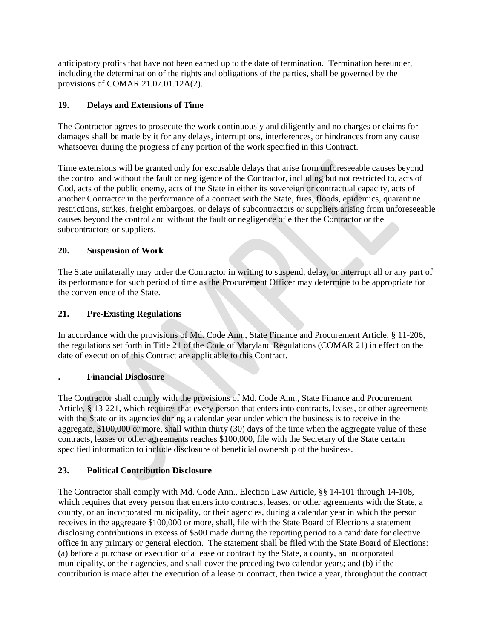anticipatory profits that have not been earned up to the date of termination. Termination hereunder, including the determination of the rights and obligations of the parties, shall be governed by the provisions of COMAR 21.07.01.12A(2).

### **19. Delays and Extensions of Time**

The Contractor agrees to prosecute the work continuously and diligently and no charges or claims for damages shall be made by it for any delays, interruptions, interferences, or hindrances from any cause whatsoever during the progress of any portion of the work specified in this Contract.

Time extensions will be granted only for excusable delays that arise from unforeseeable causes beyond the control and without the fault or negligence of the Contractor, including but not restricted to, acts of God, acts of the public enemy, acts of the State in either its sovereign or contractual capacity, acts of another Contractor in the performance of a contract with the State, fires, floods, epidemics, quarantine restrictions, strikes, freight embargoes, or delays of subcontractors or suppliers arising from unforeseeable causes beyond the control and without the fault or negligence of either the Contractor or the subcontractors or suppliers.

### **20. Suspension of Work**

The State unilaterally may order the Contractor in writing to suspend, delay, or interrupt all or any part of its performance for such period of time as the Procurement Officer may determine to be appropriate for the convenience of the State.

### **21. Pre-Existing Regulations**

In accordance with the provisions of Md. Code Ann., State Finance and Procurement Article, § 11-206, the regulations set forth in Title 21 of the Code of Maryland Regulations (COMAR 21) in effect on the date of execution of this Contract are applicable to this Contract.

### **. Financial Disclosure**

The Contractor shall comply with the provisions of Md. Code Ann., State Finance and Procurement Article, § 13-221, which requires that every person that enters into contracts, leases, or other agreements with the State or its agencies during a calendar year under which the business is to receive in the aggregate, \$100,000 or more, shall within thirty (30) days of the time when the aggregate value of these contracts, leases or other agreements reaches \$100,000, file with the Secretary of the State certain specified information to include disclosure of beneficial ownership of the business.

### **23. Political Contribution Disclosure**

The Contractor shall comply with Md. Code Ann., Election Law Article, §§ 14-101 through 14-108, which requires that every person that enters into contracts, leases, or other agreements with the State, a county, or an incorporated municipality, or their agencies, during a calendar year in which the person receives in the aggregate \$100,000 or more, shall, file with the State Board of Elections a statement disclosing contributions in excess of \$500 made during the reporting period to a candidate for elective office in any primary or general election. The statement shall be filed with the State Board of Elections: (a) before a purchase or execution of a lease or contract by the State, a county, an incorporated municipality, or their agencies, and shall cover the preceding two calendar years; and (b) if the contribution is made after the execution of a lease or contract, then twice a year, throughout the contract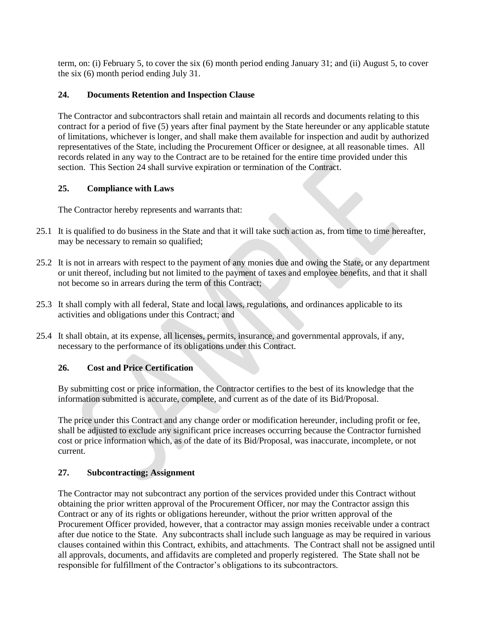term, on: (i) February 5, to cover the six (6) month period ending January 31; and (ii) August 5, to cover the six (6) month period ending July 31.

### **24. Documents Retention and Inspection Clause**

The Contractor and subcontractors shall retain and maintain all records and documents relating to this contract for a period of five (5) years after final payment by the State hereunder or any applicable statute of limitations, whichever is longer, and shall make them available for inspection and audit by authorized representatives of the State, including the Procurement Officer or designee, at all reasonable times. All records related in any way to the Contract are to be retained for the entire time provided under this section. This Section 24 shall survive expiration or termination of the Contract.

#### **25. Compliance with Laws**

The Contractor hereby represents and warrants that:

- 25.1 It is qualified to do business in the State and that it will take such action as, from time to time hereafter, may be necessary to remain so qualified;
- 25.2 It is not in arrears with respect to the payment of any monies due and owing the State, or any department or unit thereof, including but not limited to the payment of taxes and employee benefits, and that it shall not become so in arrears during the term of this Contract;
- 25.3 It shall comply with all federal, State and local laws, regulations, and ordinances applicable to its activities and obligations under this Contract; and
- 25.4 It shall obtain, at its expense, all licenses, permits, insurance, and governmental approvals, if any, necessary to the performance of its obligations under this Contract.

### **26. Cost and Price Certification**

By submitting cost or price information, the Contractor certifies to the best of its knowledge that the information submitted is accurate, complete, and current as of the date of its Bid/Proposal.

The price under this Contract and any change order or modification hereunder, including profit or fee, shall be adjusted to exclude any significant price increases occurring because the Contractor furnished cost or price information which, as of the date of its Bid/Proposal, was inaccurate, incomplete, or not current.

### **27. Subcontracting; Assignment**

The Contractor may not subcontract any portion of the services provided under this Contract without obtaining the prior written approval of the Procurement Officer, nor may the Contractor assign this Contract or any of its rights or obligations hereunder, without the prior written approval of the Procurement Officer provided, however, that a contractor may assign monies receivable under a contract after due notice to the State. Any subcontracts shall include such language as may be required in various clauses contained within this Contract, exhibits, and attachments. The Contract shall not be assigned until all approvals, documents, and affidavits are completed and properly registered. The State shall not be responsible for fulfillment of the Contractor's obligations to its subcontractors.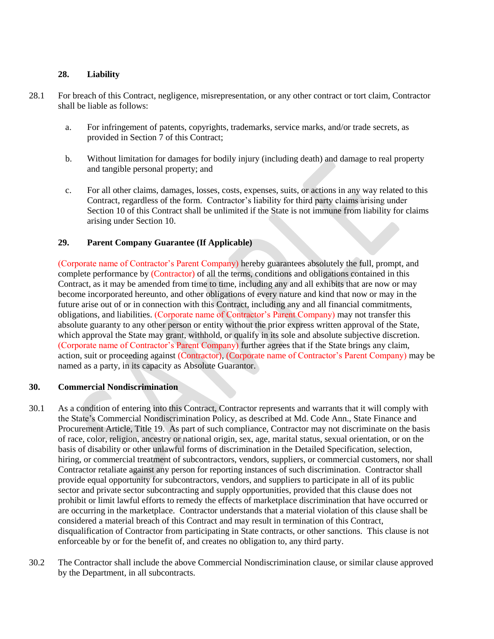#### **28. Liability**

- 28.1 For breach of this Contract, negligence, misrepresentation, or any other contract or tort claim, Contractor shall be liable as follows:
	- a. For infringement of patents, copyrights, trademarks, service marks, and/or trade secrets, as provided in Section 7 of this Contract;
	- b. Without limitation for damages for bodily injury (including death) and damage to real property and tangible personal property; and
	- c. For all other claims, damages, losses, costs, expenses, suits, or actions in any way related to this Contract, regardless of the form. Contractor's liability for third party claims arising under Section 10 of this Contract shall be unlimited if the State is not immune from liability for claims arising under Section 10.

#### **29. Parent Company Guarantee (If Applicable)**

(Corporate name of Contractor's Parent Company) hereby guarantees absolutely the full, prompt, and complete performance by (Contractor) of all the terms, conditions and obligations contained in this Contract, as it may be amended from time to time, including any and all exhibits that are now or may become incorporated hereunto, and other obligations of every nature and kind that now or may in the future arise out of or in connection with this Contract, including any and all financial commitments, obligations, and liabilities. (Corporate name of Contractor's Parent Company) may not transfer this absolute guaranty to any other person or entity without the prior express written approval of the State, which approval the State may grant, withhold, or qualify in its sole and absolute subjective discretion. (Corporate name of Contractor's Parent Company) further agrees that if the State brings any claim, action, suit or proceeding against (Contractor), (Corporate name of Contractor's Parent Company) may be named as a party, in its capacity as Absolute Guarantor.

#### **30. Commercial Nondiscrimination**

- 30.1 As a condition of entering into this Contract, Contractor represents and warrants that it will comply with the State's Commercial Nondiscrimination Policy, as described at Md. Code Ann., State Finance and Procurement Article, Title 19. As part of such compliance, Contractor may not discriminate on the basis of race, color, religion, ancestry or national origin, sex, age, marital status, sexual orientation, or on the basis of disability or other unlawful forms of discrimination in the Detailed Specification, selection, hiring, or commercial treatment of subcontractors, vendors, suppliers, or commercial customers, nor shall Contractor retaliate against any person for reporting instances of such discrimination. Contractor shall provide equal opportunity for subcontractors, vendors, and suppliers to participate in all of its public sector and private sector subcontracting and supply opportunities, provided that this clause does not prohibit or limit lawful efforts to remedy the effects of marketplace discrimination that have occurred or are occurring in the marketplace. Contractor understands that a material violation of this clause shall be considered a material breach of this Contract and may result in termination of this Contract, disqualification of Contractor from participating in State contracts, or other sanctions. This clause is not enforceable by or for the benefit of, and creates no obligation to, any third party.
- 30.2 The Contractor shall include the above Commercial Nondiscrimination clause, or similar clause approved by the Department, in all subcontracts.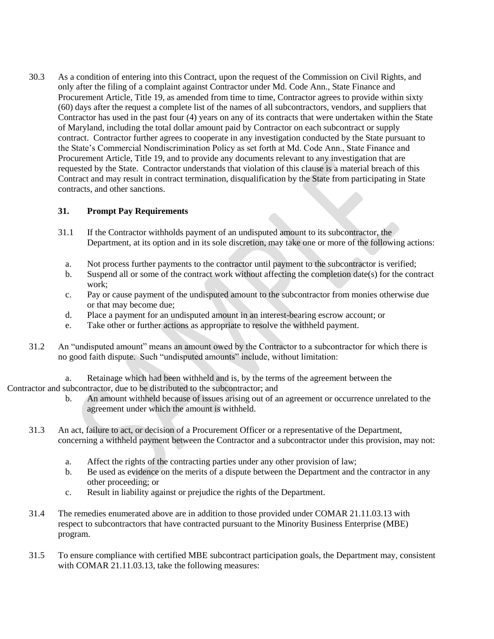30.3 As a condition of entering into this Contract, upon the request of the Commission on Civil Rights, and only after the filing of a complaint against Contractor under Md. Code Ann., State Finance and Procurement Article, Title 19, as amended from time to time, Contractor agrees to provide within sixty (60) days after the request a complete list of the names of all subcontractors, vendors, and suppliers that Contractor has used in the past four (4) years on any of its contracts that were undertaken within the State of Maryland, including the total dollar amount paid by Contractor on each subcontract or supply contract. Contractor further agrees to cooperate in any investigation conducted by the State pursuant to the State's Commercial Nondiscrimination Policy as set forth at Md. Code Ann., State Finance and Procurement Article, Title 19, and to provide any documents relevant to any investigation that are requested by the State. Contractor understands that violation of this clause is a material breach of this Contract and may result in contract termination, disqualification by the State from participating in State contracts, and other sanctions.

#### **31. Prompt Pay Requirements**

- 31.1 If the Contractor withholds payment of an undisputed amount to its subcontractor, the Department, at its option and in its sole discretion, may take one or more of the following actions:
	- a. Not process further payments to the contractor until payment to the subcontractor is verified;
	- b. Suspend all or some of the contract work without affecting the completion date(s) for the contract work;
	- c. Pay or cause payment of the undisputed amount to the subcontractor from monies otherwise due or that may become due;
	- d. Place a payment for an undisputed amount in an interest-bearing escrow account; or
	- e. Take other or further actions as appropriate to resolve the withheld payment.
- 31.2 An "undisputed amount" means an amount owed by the Contractor to a subcontractor for which there is no good faith dispute. Such "undisputed amounts" include, without limitation:
- a. Retainage which had been withheld and is, by the terms of the agreement between the Contractor and subcontractor, due to be distributed to the subcontractor; and
	- b. An amount withheld because of issues arising out of an agreement or occurrence unrelated to the agreement under which the amount is withheld.
	- 31.3 An act, failure to act, or decision of a Procurement Officer or a representative of the Department, concerning a withheld payment between the Contractor and a subcontractor under this provision, may not:
		- a. Affect the rights of the contracting parties under any other provision of law;
		- b. Be used as evidence on the merits of a dispute between the Department and the contractor in any other proceeding; or
		- c. Result in liability against or prejudice the rights of the Department.
	- 31.4 The remedies enumerated above are in addition to those provided under COMAR 21.11.03.13 with respect to subcontractors that have contracted pursuant to the Minority Business Enterprise (MBE) program.
	- 31.5 To ensure compliance with certified MBE subcontract participation goals, the Department may, consistent with COMAR 21.11.03.13, take the following measures: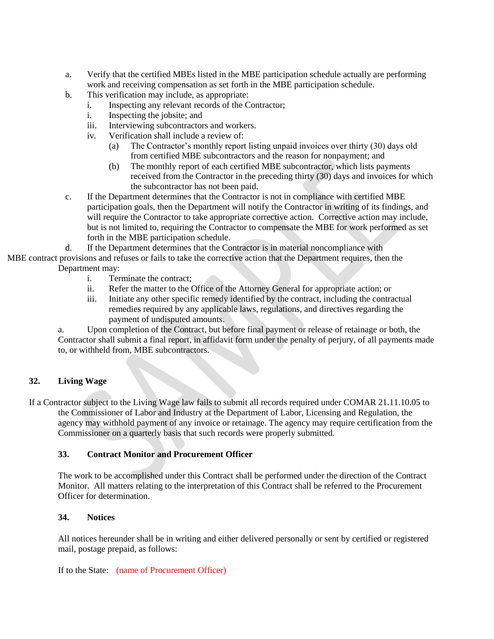- a. Verify that the certified MBEs listed in the MBE participation schedule actually are performing work and receiving compensation as set forth in the MBE participation schedule.
- b. This verification may include, as appropriate:
	- i. Inspecting any relevant records of the Contractor;
	- i. Inspecting the jobsite; and
	- iii. Interviewing subcontractors and workers.
	- iv. Verification shall include a review of:
		- (a) The Contractor's monthly report listing unpaid invoices over thirty (30) days old from certified MBE subcontractors and the reason for nonpayment; and
		- (b) The monthly report of each certified MBE subcontractor, which lists payments received from the Contractor in the preceding thirty (30) days and invoices for which the subcontractor has not been paid.
- c. If the Department determines that the Contractor is not in compliance with certified MBE participation goals, then the Department will notify the Contractor in writing of its findings, and will require the Contractor to take appropriate corrective action. Corrective action may include, but is not limited to, requiring the Contractor to compensate the MBE for work performed as set forth in the MBE participation schedule.
- d. If the Department determines that the Contractor is in material noncompliance with
- MBE contract provisions and refuses or fails to take the corrective action that the Department requires, then the Department may:
	- i. Terminate the contract;
	- ii. Refer the matter to the Office of the Attorney General for appropriate action; or
	- iii. Initiate any other specific remedy identified by the contract, including the contractual remedies required by any applicable laws, regulations, and directives regarding the payment of undisputed amounts.

a. Upon completion of the Contract, but before final payment or release of retainage or both, the Contractor shall submit a final report, in affidavit form under the penalty of perjury, of all payments made to, or withheld from, MBE subcontractors.

### **32. Living Wage**

If a Contractor subject to the Living Wage law fails to submit all records required under COMAR 21.11.10.05 to the Commissioner of Labor and Industry at the Department of Labor, Licensing and Regulation, the agency may withhold payment of any invoice or retainage. The agency may require certification from the Commissioner on a quarterly basis that such records were properly submitted.

#### **33. Contract Monitor and Procurement Officer**

The work to be accomplished under this Contract shall be performed under the direction of the Contract Monitor. All matters relating to the interpretation of this Contract shall be referred to the Procurement Officer for determination.

#### **34. Notices**

All notices hereunder shall be in writing and either delivered personally or sent by certified or registered mail, postage prepaid, as follows:

If to the State: (name of Procurement Officer)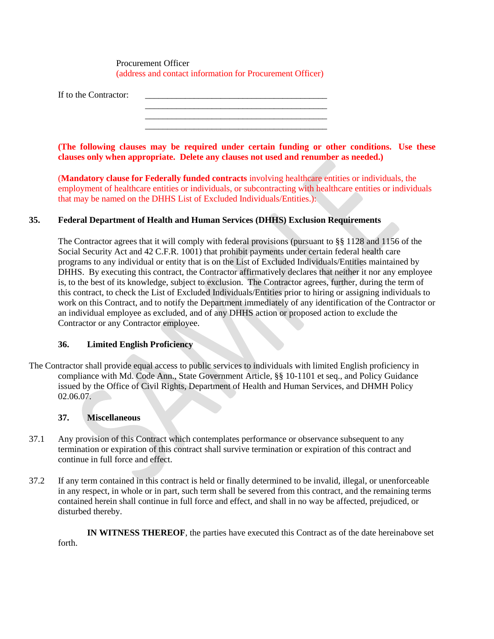Procurement Officer (address and contact information for Procurement Officer)

If to the Contractor:

**(The following clauses may be required under certain funding or other conditions. Use these clauses only when appropriate. Delete any clauses not used and renumber as needed.)**

\_\_\_\_\_\_\_\_\_\_\_\_\_\_\_\_\_\_\_\_\_\_\_\_\_\_\_\_\_\_\_\_\_\_\_\_\_\_\_\_\_ \_\_\_\_\_\_\_\_\_\_\_\_\_\_\_\_\_\_\_\_\_\_\_\_\_\_\_\_\_\_\_\_\_\_\_\_\_\_\_\_\_

(**Mandatory clause for Federally funded contracts** involving healthcare entities or individuals, the employment of healthcare entities or individuals, or subcontracting with healthcare entities or individuals that may be named on the DHHS List of Excluded Individuals/Entities.):

#### **35. Federal Department of Health and Human Services (DHHS) Exclusion Requirements**

The Contractor agrees that it will comply with federal provisions (pursuant to §§ 1128 and 1156 of the Social Security Act and 42 C.F.R. 1001) that prohibit payments under certain federal health care programs to any individual or entity that is on the List of Excluded Individuals/Entities maintained by DHHS. By executing this contract, the Contractor affirmatively declares that neither it nor any employee is, to the best of its knowledge, subject to exclusion. The Contractor agrees, further, during the term of this contract, to check the List of Excluded Individuals/Entities prior to hiring or assigning individuals to work on this Contract, and to notify the Department immediately of any identification of the Contractor or an individual employee as excluded, and of any DHHS action or proposed action to exclude the Contractor or any Contractor employee.

#### **36. Limited English Proficiency**

The Contractor shall provide equal access to public services to individuals with limited English proficiency in compliance with Md. Code Ann., State Government Article, §§ 10-1101 et seq., and Policy Guidance issued by the Office of Civil Rights, Department of Health and Human Services, and DHMH Policy 02.06.07.

#### **37. Miscellaneous**

- 37.1 Any provision of this Contract which contemplates performance or observance subsequent to any termination or expiration of this contract shall survive termination or expiration of this contract and continue in full force and effect.
- 37.2 If any term contained in this contract is held or finally determined to be invalid, illegal, or unenforceable in any respect, in whole or in part, such term shall be severed from this contract, and the remaining terms contained herein shall continue in full force and effect, and shall in no way be affected, prejudiced, or disturbed thereby.

**IN WITNESS THEREOF**, the parties have executed this Contract as of the date hereinabove set forth.